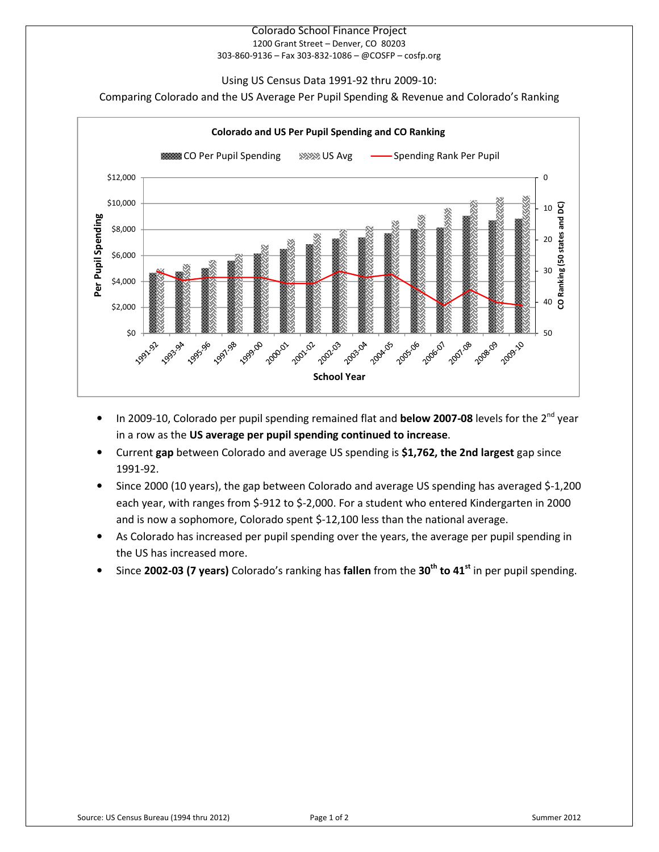## Colorado School Finance Project 1200 Grant Street – Denver, CO 80203 303-860-9136 – Fax 303-832-1086 – @COSFP – cosfp.org

## Using US Census Data 1991-92 thru 2009-10:

Comparing Colorado and the US Average Per Pupil Spending & Revenue and Colorado's Ranking



- In 2009-10, Colorado per pupil spending remained flat and **below 2007-08** levels for the  $2^{nd}$  year in a row as the US average per pupil spending continued to increase.
- Current gap between Colorado and average US spending is \$1,762, the 2nd largest gap since 1991-92.
- Since 2000 (10 years), the gap between Colorado and average US spending has averaged \$-1,200 each year, with ranges from \$-912 to \$-2,000. For a student who entered Kindergarten in 2000 and is now a sophomore, Colorado spent \$-12,100 less than the national average.
- As Colorado has increased per pupil spending over the years, the average per pupil spending in the US has increased more.
- Since 2002-03 (7 years) Colorado's ranking has fallen from the  $30<sup>th</sup>$  to  $41<sup>st</sup>$  in per pupil spending.